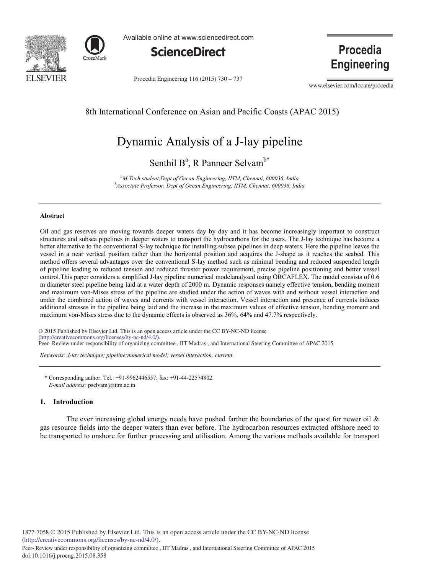



Available online at www.sciencedirect.com



Procedia Engineering 116 (2015) 730 - 737

**Procedia Engineering** 

www.elsevier.com/locate/procedia

## 8th International Conference on Asian and Pacific Coasts (APAC 2015)

# Dynamic Analysis of a J-lay pipeline

Senthil B<sup>a</sup>, R Panneer Selvam<sup>b\*</sup>

*a M.Tech student,Dept of Ocean Engineering, IITM, Chennai, 600036, India b Associate Professor, Dept of Ocean Engineering, IITM, Chennai, 600036, India*

#### **Abstract**

Oil and gas reserves are moving towards deeper waters day by day and it has become increasingly important to construct structures and subsea pipelines in deeper waters to transport the hydrocarbons for the users. The J-lay technique has become a better alternative to the conventional S-lay technique for installing subsea pipelines in deep waters. Here the pipeline leaves the vessel in a near vertical position rather than the horizontal position and acquires the J-shape as it reaches the seabed. This method offers several advantages over the conventional S-lay method such as minimal bending and reduced suspended length of pipeline leading to reduced tension and reduced thruster power requirement, precise pipeline positioning and better vessel control.This paper considers a simplified J-lay pipeline numerical modelanalysed using ORCAFLEX. The model consists of 0.6 m diameter steel pipeline being laid at a water depth of 2000 m. Dynamic responses namely effective tension, bending moment and maximum von-Mises stress of the pipeline are studied under the action of waves with and without vessel interaction and under the combined action of waves and currents with vessel interaction. Vessel interaction and presence of currents induces additional stresses in the pipeline being laid and the increase in the maximum values of effective tension, bending moment and maximum von-Mises stress due to the dynamic effects is observed as 36%, 64% and 47.7% respectively.

© 2015 Published by Elsevier Ltd. This is an open access article under the CC BY-NC-ND license (http://creativecommons.org/licenses/by-nc-nd/4.0/).<br>Peer- Review under responsibility of organizing committee , IIT Madras , and International Steering Committee of APAC 2015 (http://creativecommons.org/licenses/by-nc-nd/4.0/).

*Keywords: J-lay technique; pipeline;numerical model; vessel interaction; current.* 

\* Corresponding author. Tel.: +91-9962446557; fax: +91-44-22574802. *E-mail address:* pselvam@iitm.ac.in

#### **1. Introduction**

The ever increasing global energy needs have pushed farther the boundaries of the quest for newer oil  $\&$ gas resource fields into the deeper waters than ever before. The hydrocarbon resources extracted offshore need to be transported to onshore for further processing and utilisation. Among the various methods available for transport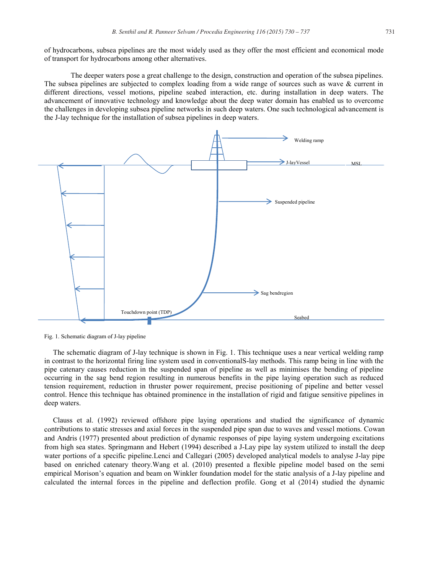of hydrocarbons, subsea pipelines are the most widely used as they offer the most efficient and economical mode of transport for hydrocarbons among other alternatives.

The deeper waters pose a great challenge to the design, construction and operation of the subsea pipelines. The subsea pipelines are subjected to complex loading from a wide range of sources such as wave & current in different directions, vessel motions, pipeline seabed interaction, etc. during installation in deep waters. The advancement of innovative technology and knowledge about the deep water domain has enabled us to overcome the challenges in developing subsea pipeline networks in such deep waters. One such technological advancement is the J-lay technique for the installation of subsea pipelines in deep waters.



Fig. 1. Schematic diagram of J-lay pipeline

The schematic diagram of J-lay technique is shown in Fig. 1. This technique uses a near vertical welding ramp in contrast to the horizontal firing line system used in conventionalS-lay methods. This ramp being in line with the pipe catenary causes reduction in the suspended span of pipeline as well as minimises the bending of pipeline occurring in the sag bend region resulting in numerous benefits in the pipe laying operation such as reduced tension requirement, reduction in thruster power requirement, precise positioning of pipeline and better vessel control. Hence this technique has obtained prominence in the installation of rigid and fatigue sensitive pipelines in deep waters.

Clauss et al. (1992) reviewed offshore pipe laying operations and studied the significance of dynamic contributions to static stresses and axial forces in the suspended pipe span due to waves and vessel motions. Cowan and Andris (1977) presented about prediction of dynamic responses of pipe laying system undergoing excitations from high sea states. Springmann and Hebert (1994) described a J-Lay pipe lay system utilized to install the deep water portions of a specific pipeline. Lenci and Callegari (2005) developed analytical models to analyse J-lay pipe based on enriched catenary theory.Wang et al. (2010) presented a flexible pipeline model based on the semi empirical Morison's equation and beam on Winkler foundation model for the static analysis of a J-lay pipeline and calculated the internal forces in the pipeline and deflection profile. Gong et al (2014) studied the dynamic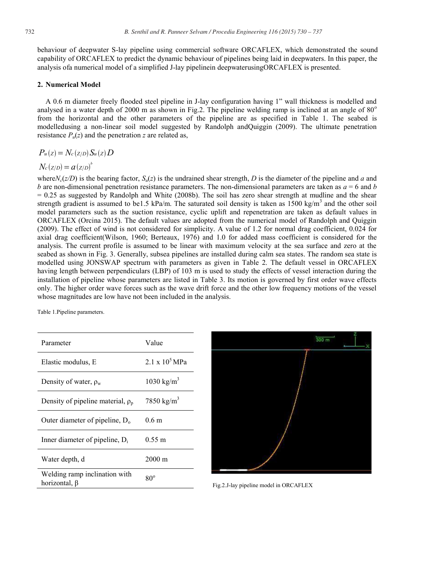behaviour of deepwater S-lay pipeline using commercial software ORCAFLEX, which demonstrated the sound capability of ORCAFLEX to predict the dynamic behaviour of pipelines being laid in deepwaters. In this paper, the analysis ofa numerical model of a simplified J-lay pipelinein deepwaterusingORCAFLEX is presented.

### **2. Numerical Model**

A 0.6 m diameter freely flooded steel pipeline in J-lay configuration having 1" wall thickness is modelled and analysed in a water depth of 2000 m as shown in Fig.2. The pipeline welding ramp is inclined at an angle of  $80^\circ$ from the horizontal and the other parameters of the pipeline are as specified in Table 1. The seabed is modelledusing a non-linear soil model suggested by Randolph andQuiggin (2009). The ultimate penetration resistance  $P_u(z)$  and the penetration *z* are related as,

### $P_u(z) = N_c(z/D) S_u(z) D$

### $N_c(z/D) = a(z/D)^b$

where $N_c(z/D)$  is the bearing factor,  $S_u(z)$  is the undrained shear strength, *D* is the diameter of the pipeline and *a* and *b* are non-dimensional penetration resistance parameters. The non-dimensional parameters are taken as *a* = 6 and *b*  $= 0.25$  as suggested by Randolph and White (2008b). The soil has zero shear strength at mudline and the shear strength gradient is assumed to be1.5 kPa/m. The saturated soil density is taken as  $1500 \text{ kg/m}^3$  and the other soil model parameters such as the suction resistance, cyclic uplift and repenetration are taken as default values in ORCAFLEX (Orcina 2015). The default values are adopted from the numerical model of Randolph and Quiggin (2009). The effect of wind is not considered for simplicity. A value of 1.2 for normal drag coefficient, 0.024 for axial drag coefficient(Wilson, 1960; Berteaux, 1976) and 1.0 for added mass coefficient is considered for the analysis. The current profile is assumed to be linear with maximum velocity at the sea surface and zero at the seabed as shown in Fig. 3. Generally, subsea pipelines are installed during calm sea states. The random sea state is modelled using JONSWAP spectrum with parameters as given in Table 2. The default vessel in ORCAFLEX having length between perpendiculars (LBP) of 103 m is used to study the effects of vessel interaction during the installation of pipeline whose parameters are listed in Table 3. Its motion is governed by first order wave effects only. The higher order wave forces such as the wave drift force and the other low frequency motions of the vessel whose magnitudes are low have not been included in the analysis.

Table 1.Pipeline parameters.

| Parameter                                                 | Value                  |
|-----------------------------------------------------------|------------------------|
| Elastic modulus, E                                        | 2.1 x $10^5$ MPa       |
| Density of water, $\rho_w$                                | 1030 kg/m <sup>3</sup> |
| Density of pipeline material, $\rho_p$                    | 7850 kg/m <sup>3</sup> |
| Outer diameter of pipeline, $D_0$                         | 0.6 m                  |
| Inner diameter of pipeline, $D_i$                         | $0.55 \; \mathrm{m}$   |
| Water depth, d                                            | 2000 m                 |
| Welding ramp inclination with<br>horizontal, <sup>B</sup> | $80^{\circ}$           |



Fig.2.J-lay pipeline model in ORCAFLEX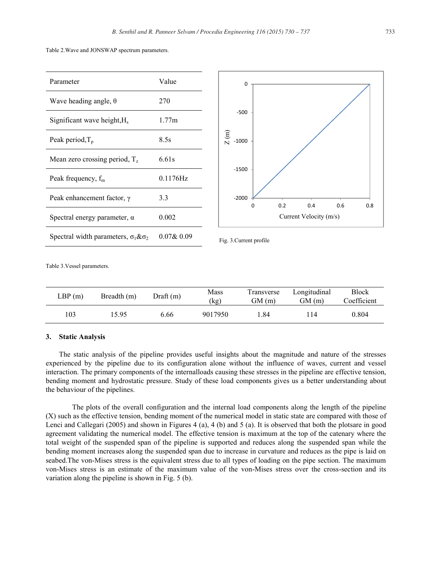Table 2.Wave and JONSWAP spectrum parameters.

| Parameter                                         | Value         |
|---------------------------------------------------|---------------|
| Wave heading angle, $\theta$                      | 270           |
| Significant wave height, H <sub>s</sub>           | 1.77m         |
| Peak period, $T_p$                                | 8.5s          |
| Mean zero crossing period, $T_z$                  | 6.61s         |
| Peak frequency, $f_m$                             | $0.1176$ Hz   |
| Peak enhancement factor, $\gamma$                 | 3.3           |
| Spectral energy parameter, $\alpha$               | 0.002         |
| Spectral width parameters, $\sigma_1 \& \sigma_2$ | $0.07\& 0.09$ |



Fig. 3.Current profile

Table 3.Vessel parameters.

| LBP(m) | Breadth (m) | Draff(m) | Mass<br>(kg) | Transverse<br>GM (m) | Longitudinal<br>GM (m) | <b>Block</b><br>Coefficient |
|--------|-------------|----------|--------------|----------------------|------------------------|-----------------------------|
| 103    | 15.95       | 6.66     | 9017950      | .84                  | 114                    | 0.804                       |

### **3. Static Analysis**

The static analysis of the pipeline provides useful insights about the magnitude and nature of the stresses experienced by the pipeline due to its configuration alone without the influence of waves, current and vessel interaction. The primary components of the internalloads causing these stresses in the pipeline are effective tension, bending moment and hydrostatic pressure. Study of these load components gives us a better understanding about the behaviour of the pipelines.

The plots of the overall configuration and the internal load components along the length of the pipeline (X) such as the effective tension, bending moment of the numerical model in static state are compared with those of Lenci and Callegari (2005) and shown in Figures 4 (a), 4 (b) and 5 (a). It is observed that both the plotsare in good agreement validating the numerical model. The effective tension is maximum at the top of the catenary where the total weight of the suspended span of the pipeline is supported and reduces along the suspended span while the bending moment increases along the suspended span due to increase in curvature and reduces as the pipe is laid on seabed.The von-Mises stress is the equivalent stress due to all types of loading on the pipe section. The maximum von-Mises stress is an estimate of the maximum value of the von-Mises stress over the cross-section and its variation along the pipeline is shown in Fig. 5 (b).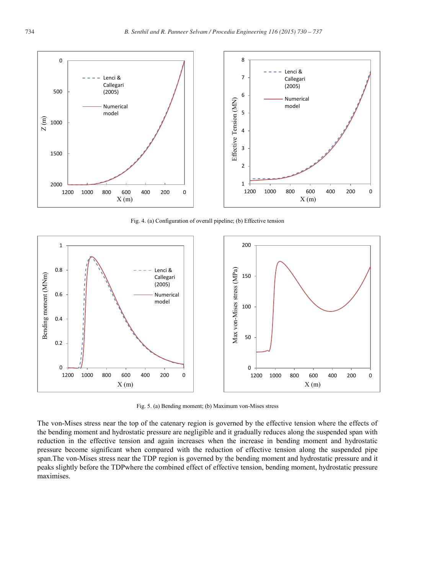

Fig. 4. (a) Configuration of overall pipeline; (b) Effective tension



Fig. 5. (a) Bending moment; (b) Maximum von-Mises stress

The von-Mises stress near the top of the catenary region is governed by the effective tension where the effects of the bending moment and hydrostatic pressure are negligible and it gradually reduces along the suspended span with reduction in the effective tension and again increases when the increase in bending moment and hydrostatic pressure become significant when compared with the reduction of effective tension along the suspended pipe span.The von-Mises stress near the TDP region is governed by the bending moment and hydrostatic pressure and it peaks slightly before the TDPwhere the combined effect of effective tension, bending moment, hydrostatic pressure maximises.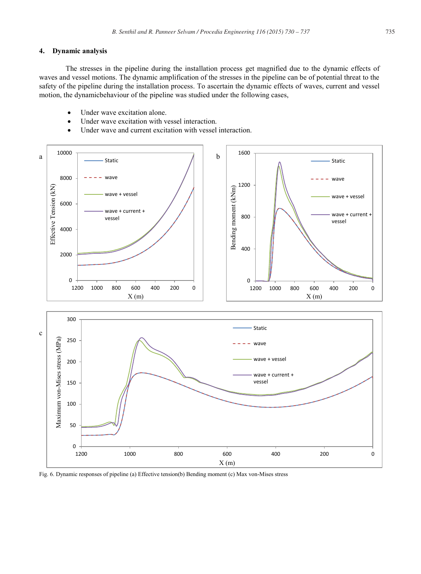### **4. Dynamic analysis**

The stresses in the pipeline during the installation process get magnified due to the dynamic effects of waves and vessel motions. The dynamic amplification of the stresses in the pipeline can be of potential threat to the safety of the pipeline during the installation process. To ascertain the dynamic effects of waves, current and vessel motion, the dynamicbehaviour of the pipeline was studied under the following cases,

- Under wave excitation alone.
- Under wave excitation with vessel interaction.
- Under wave and current excitation with vessel interaction.



Fig. 6. Dynamic responses of pipeline (a) Effective tension(b) Bending moment (c) Max von-Mises stress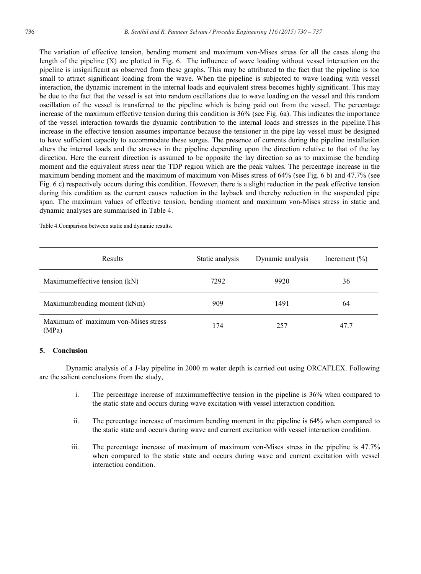The variation of effective tension, bending moment and maximum von-Mises stress for all the cases along the length of the pipeline (X) are plotted in Fig. 6. The influence of wave loading without vessel interaction on the pipeline is insignificant as observed from these graphs. This may be attributed to the fact that the pipeline is too small to attract significant loading from the wave. When the pipeline is subjected to wave loading with vessel interaction, the dynamic increment in the internal loads and equivalent stress becomes highly significant. This may be due to the fact that the vessel is set into random oscillations due to wave loading on the vessel and this random oscillation of the vessel is transferred to the pipeline which is being paid out from the vessel. The percentage increase of the maximum effective tension during this condition is 36% (see Fig. 6a). This indicates the importance of the vessel interaction towards the dynamic contribution to the internal loads and stresses in the pipeline.This increase in the effective tension assumes importance because the tensioner in the pipe lay vessel must be designed to have sufficient capacity to accommodate these surges. The presence of currents during the pipeline installation alters the internal loads and the stresses in the pipeline depending upon the direction relative to that of the lay direction. Here the current direction is assumed to be opposite the lay direction so as to maximise the bending moment and the equivalent stress near the TDP region which are the peak values. The percentage increase in the maximum bending moment and the maximum of maximum von-Mises stress of 64% (see Fig. 6 b) and 47.7% (see Fig. 6 c) respectively occurs during this condition. However, there is a slight reduction in the peak effective tension during this condition as the current causes reduction in the layback and thereby reduction in the suspended pipe span. The maximum values of effective tension, bending moment and maximum von-Mises stress in static and dynamic analyses are summarised in Table 4.

Table 4.Comparison between static and dynamic results.

| Results                                      | Static analysis | Dynamic analysis | Increment $(\% )$ |
|----------------------------------------------|-----------------|------------------|-------------------|
| Maximum effective tension (kN)               | 7292            | 9920             | 36                |
| Maximumbending moment (kNm)                  | 909             | 1491             | 64                |
| Maximum of maximum von-Mises stress<br>(MPa) | 174             | 257              | 47.7              |

### **5. Conclusion**

Dynamic analysis of a J-lay pipeline in 2000 m water depth is carried out using ORCAFLEX. Following are the salient conclusions from the study,

- i. The percentage increase of maximumeffective tension in the pipeline is 36% when compared to the static state and occurs during wave excitation with vessel interaction condition.
- ii. The percentage increase of maximum bending moment in the pipeline is 64% when compared to the static state and occurs during wave and current excitation with vessel interaction condition.
- iii. The percentage increase of maximum of maximum von-Mises stress in the pipeline is 47.7% when compared to the static state and occurs during wave and current excitation with vessel interaction condition.